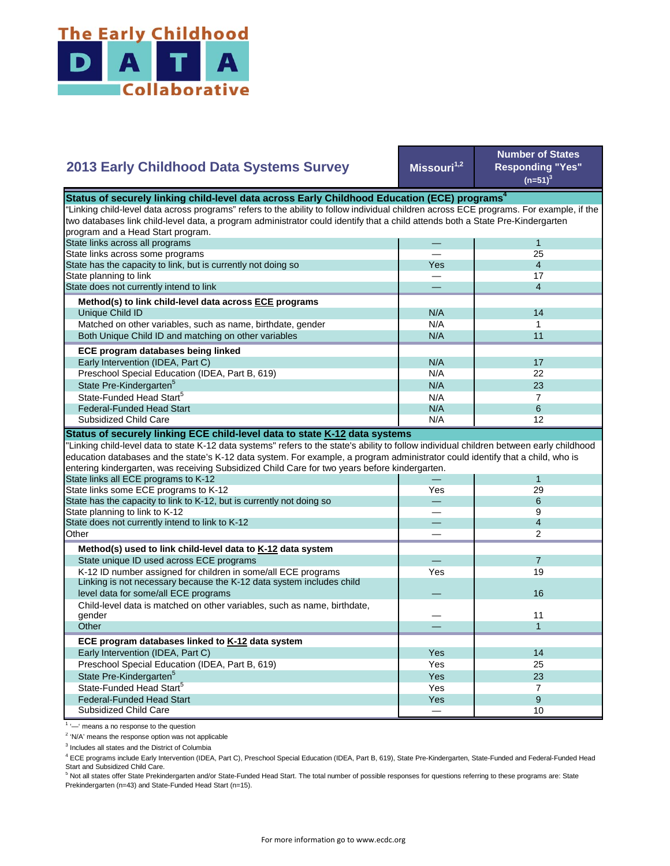

## **Missouri1,2 Number of States Responding "Yes"**   $(n=51)^{3}$ — 1 — 25 Yes 4<br>— 17 — 17 — 4 N/A 14  $N/A$  1 N/A 11  $N/A$  17 N/A 22  $N/A$  23  $N/A$  7 State Pre-Kindergarten<sup>5</sup> State-Funded Head Start<sup>5</sup> Matched on other variables, such as name, birthdate, gender Both Unique Child ID and matching on other variables  **ECE program databases being linked**  Early Intervention (IDEA, Part C) Preschool Special Education (IDEA, Part B, 619) State has the capacity to link, but is currently not doing so State planning to link State does not currently intend to link  **Method(s) to link child-level data across ECE programs** Unique Child ID **2013 Early Childhood Data Systems Survey** Status of securely linking child-level data across Early Childhood Education (ECE) programs<sup>4</sup> "Linking child-level data across programs" refers to the ability to follow individual children across ECE programs. For example, if the two databases link child-level data, a program administrator could identify that a child attends both a State Pre-Kindergarten program and a Head Start program. State links across all programs State links across some programs  $N/A$  6 N/A **1** 12 — 1 Yes 29 — 6 — 9 — 4 — 2 — 7 Yes 19  $\overline{\phantom{0}}$ — 11 — 1 Yes I 14 Yes 25  $Yes$  23 Yes **I** 7 Yes a series of the series of the series of the series of the series of the series of the series of the series — 10 Preschool Special Education (IDEA, Part B, 619) State Pre-Kindergarten<sup>5</sup> State-Funded Head Start<sup>5</sup> Federal-Funded Head Start Subsidized Child Care Child-level data is matched on other variables, such as name, birthdate, gender **Other ECE program databases linked to K-12 data system** Early Intervention (IDEA, Part C) **Other Method(s) used to link child-level data to K-12 data system** State unique ID used across ECE programs K-12 ID number assigned for children in some/all ECE programs Linking is not necessary because the K-12 data system includes child level data for some/all ECE programs 16 and 200 minutes and 200 minutes of the control of the control of the control of the control of the control of the control of the control of the control of the control of the control "Linking child-level data to state K-12 data systems" refers to the state's ability to follow individual children between early childhood education databases and the state's K-12 data system. For example, a program administrator could identify that a child, who is entering kindergarten, was receiving Subsidized Child Care for two years before kindergarten. State links all ECE programs to K-12 State links some ECE programs to K-12 State has the capacity to link to K-12, but is currently not doing so State planning to link to K-12 State does not currently intend to link to K-12 Federal-Funded Head Start Subsidized Child Care **Status of securely linking ECE child-level data to state K-12 data systems**

<sup>1</sup> '-' means a no response to the question

<sup>2</sup> 'N/A' means the response option was not applicable

<sup>3</sup> Includes all states and the District of Columbia

<sup>4</sup> ECE programs include Early Intervention (IDEA, Part C), Preschool Special Education (IDEA, Part B, 619), State Pre-Kindergarten, State-Funded and Federal-Funded Head Start and Subsidized Child Care.

<sup>5</sup> Not all states offer State Prekindergarten and/or State-Funded Head Start. The total number of possible responses for questions referring to these programs are: State Prekindergarten (n=43) and State-Funded Head Start (n=15).